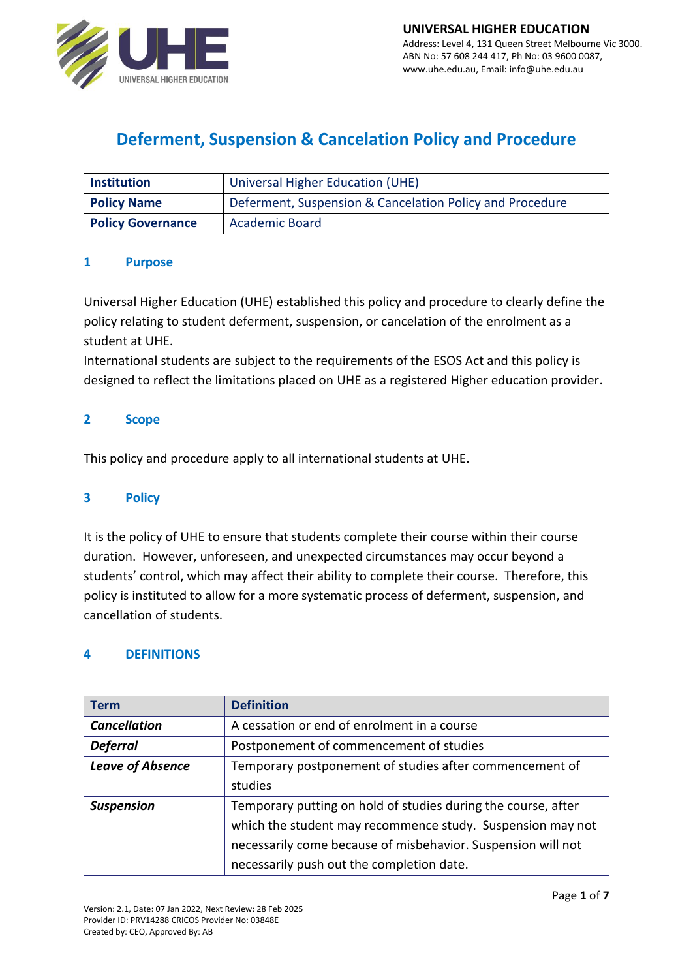

# **Deferment, Suspension & Cancelation Policy and Procedure**

| <b>Institution</b>       | <b>Universal Higher Education (UHE)</b>                  |  |
|--------------------------|----------------------------------------------------------|--|
| <b>Policy Name</b>       | Deferment, Suspension & Cancelation Policy and Procedure |  |
| <b>Policy Governance</b> | <b>Academic Board</b>                                    |  |

#### **1 Purpose**

Universal Higher Education (UHE) established this policy and procedure to clearly define the policy relating to student deferment, suspension, or cancelation of the enrolment as a student at UHE.

International students are subject to the requirements of the ESOS Act and this policy is designed to reflect the limitations placed on UHE as a registered Higher education provider.

## **2 Scope**

This policy and procedure apply to all international students at UHE.

#### **3 Policy**

It is the policy of UHE to ensure that students complete their course within their course duration. However, unforeseen, and unexpected circumstances may occur beyond a students' control, which may affect their ability to complete their course. Therefore, this policy is instituted to allow for a more systematic process of deferment, suspension, and cancellation of students.

#### **4 DEFINITIONS**

| <b>Term</b>             | <b>Definition</b>                                             |  |  |
|-------------------------|---------------------------------------------------------------|--|--|
| <b>Cancellation</b>     | A cessation or end of enrolment in a course                   |  |  |
| <b>Deferral</b>         | Postponement of commencement of studies                       |  |  |
| <b>Leave of Absence</b> | Temporary postponement of studies after commencement of       |  |  |
|                         | studies                                                       |  |  |
| <b>Suspension</b>       | Temporary putting on hold of studies during the course, after |  |  |
|                         | which the student may recommence study. Suspension may not    |  |  |
|                         | necessarily come because of misbehavior. Suspension will not  |  |  |
|                         | necessarily push out the completion date.                     |  |  |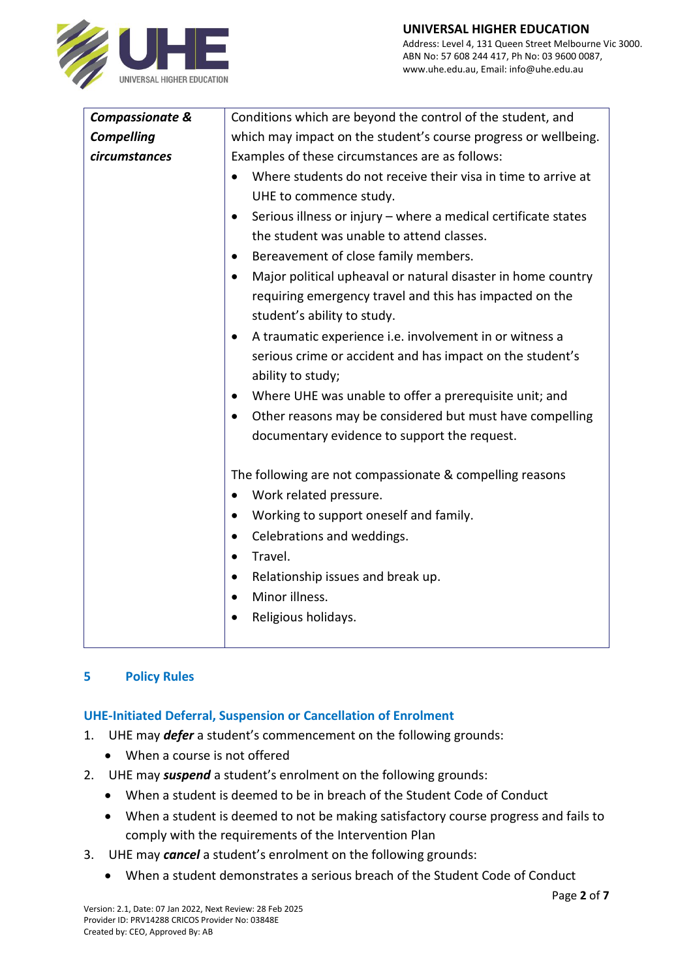www.uhe.edu.au, Email: info@uhe.edu.au



| <b>Compassionate &amp;</b> | Conditions which are beyond the control of the student, and                                                                                                         |  |  |
|----------------------------|---------------------------------------------------------------------------------------------------------------------------------------------------------------------|--|--|
| <b>Compelling</b>          | which may impact on the student's course progress or wellbeing.                                                                                                     |  |  |
| circumstances              | Examples of these circumstances are as follows:                                                                                                                     |  |  |
|                            | Where students do not receive their visa in time to arrive at<br>UHE to commence study.                                                                             |  |  |
|                            | Serious illness or injury - where a medical certificate states<br>$\bullet$                                                                                         |  |  |
|                            | the student was unable to attend classes.                                                                                                                           |  |  |
|                            | Bereavement of close family members.<br>$\bullet$                                                                                                                   |  |  |
|                            | Major political upheaval or natural disaster in home country<br>$\bullet$<br>requiring emergency travel and this has impacted on the<br>student's ability to study. |  |  |
|                            | A traumatic experience i.e. involvement in or witness a<br>$\bullet$                                                                                                |  |  |
|                            | serious crime or accident and has impact on the student's<br>ability to study;                                                                                      |  |  |
|                            | Where UHE was unable to offer a prerequisite unit; and<br>$\bullet$                                                                                                 |  |  |
|                            | Other reasons may be considered but must have compelling<br>$\bullet$                                                                                               |  |  |
|                            | documentary evidence to support the request.                                                                                                                        |  |  |
|                            | The following are not compassionate & compelling reasons                                                                                                            |  |  |
|                            | Work related pressure.<br>$\bullet$                                                                                                                                 |  |  |
|                            | Working to support oneself and family.<br>$\bullet$                                                                                                                 |  |  |
|                            | Celebrations and weddings.<br>$\bullet$                                                                                                                             |  |  |
|                            | Travel.<br>$\bullet$                                                                                                                                                |  |  |
|                            | Relationship issues and break up.<br>$\bullet$                                                                                                                      |  |  |
|                            | Minor illness.<br>$\bullet$                                                                                                                                         |  |  |
|                            | Religious holidays.                                                                                                                                                 |  |  |
|                            |                                                                                                                                                                     |  |  |

# **5 Policy Rules**

#### **UHE-Initiated Deferral, Suspension or Cancellation of Enrolment**

- 1. UHE may *defer* a student's commencement on the following grounds:
	- When a course is not offered
- 2. UHE may *suspend* a student's enrolment on the following grounds:
	- When a student is deemed to be in breach of the Student Code of Conduct
	- When a student is deemed to not be making satisfactory course progress and fails to comply with the requirements of the Intervention Plan
- 3. UHE may *cancel* a student's enrolment on the following grounds:
	- When a student demonstrates a serious breach of the Student Code of Conduct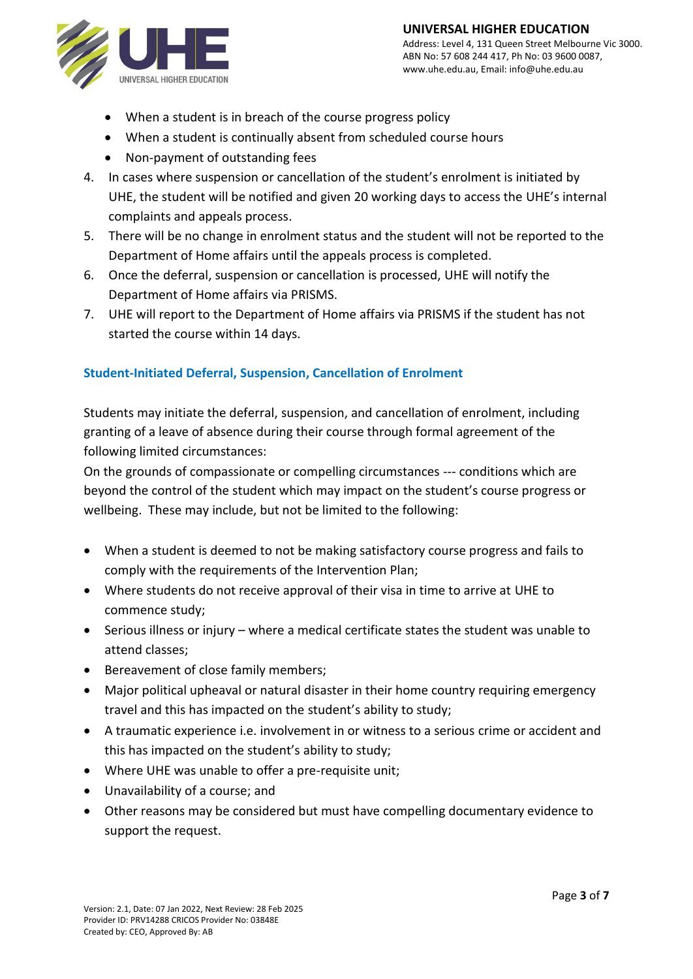

- When a student is in breach of the course progress policy
- When a student is continually absent from scheduled course hours
- Non-payment of outstanding fees
- 4. In cases where suspension or cancellation of the student's enrolment is initiated by UHE, the student will be notified and given 20 working days to access the UHE's internal complaints and appeals process.
- 5. There will be no change in enrolment status and the student will not be reported to the Department of Home affairs until the appeals process is completed.
- 6. Once the deferral, suspension or cancellation is processed, UHE will notify the Department of Home affairs via PRISMS.
- 7. UHE will report to the Department of Home affairs via PRISMS if the student has not started the course within 14 days.

## **Student-Initiated Deferral, Suspension, Cancellation of Enrolment**

Students may initiate the deferral, suspension, and cancellation of enrolment, including granting of a leave of absence during their course through formal agreement of the following limited circumstances:

On the grounds of compassionate or compelling circumstances --- conditions which are beyond the control of the student which may impact on the student's course progress or wellbeing. These may include, but not be limited to the following:

- When a student is deemed to not be making satisfactory course progress and fails to comply with the requirements of the Intervention Plan;
- Where students do not receive approval of their visa in time to arrive at UHE to commence study;
- Serious illness or injury where a medical certificate states the student was unable to attend classes;
- Bereavement of close family members;
- Major political upheaval or natural disaster in their home country requiring emergency travel and this has impacted on the student's ability to study;
- A traumatic experience i.e. involvement in or witness to a serious crime or accident and this has impacted on the student's ability to study;
- Where UHE was unable to offer a pre-requisite unit;
- Unavailability of a course; and
- Other reasons may be considered but must have compelling documentary evidence to support the request.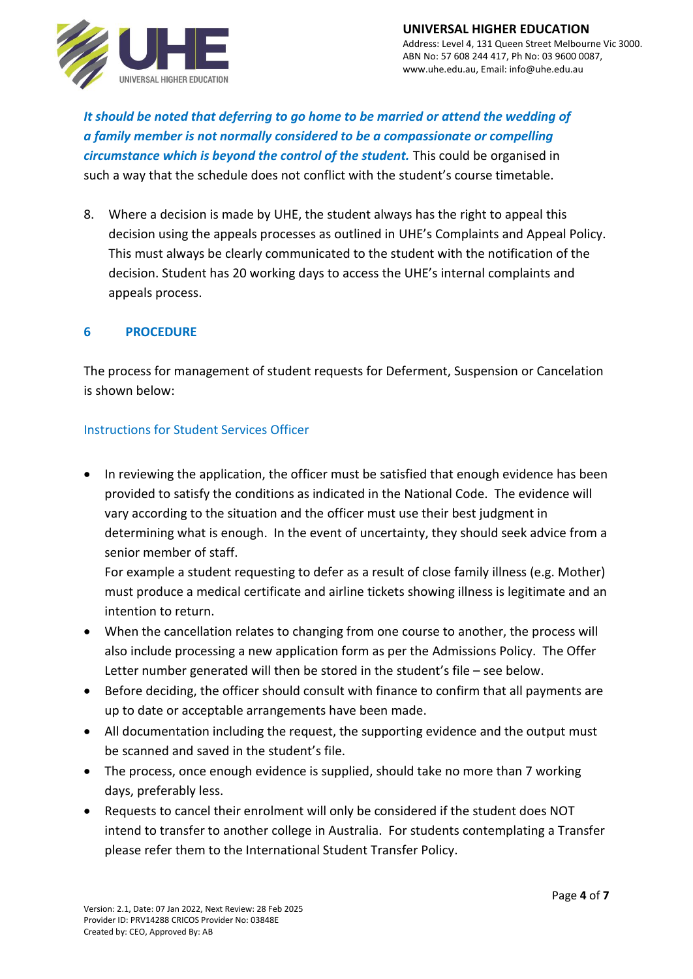

*It should be noted that deferring to go home to be married or attend the wedding of a family member is not normally considered to be a compassionate or compelling circumstance which is beyond the control of the student.* This could be organised in such a way that the schedule does not conflict with the student's course timetable.

8. Where a decision is made by UHE, the student always has the right to appeal this decision using the appeals processes as outlined in UHE's Complaints and Appeal Policy. This must always be clearly communicated to the student with the notification of the decision. Student has 20 working days to access the UHE's internal complaints and appeals process.

#### **6 PROCEDURE**

The process for management of student requests for Deferment, Suspension or Cancelation is shown below:

## Instructions for Student Services Officer

• In reviewing the application, the officer must be satisfied that enough evidence has been provided to satisfy the conditions as indicated in the National Code. The evidence will vary according to the situation and the officer must use their best judgment in determining what is enough. In the event of uncertainty, they should seek advice from a senior member of staff.

For example a student requesting to defer as a result of close family illness (e.g. Mother) must produce a medical certificate and airline tickets showing illness is legitimate and an intention to return.

- When the cancellation relates to changing from one course to another, the process will also include processing a new application form as per the Admissions Policy. The Offer Letter number generated will then be stored in the student's file – see below.
- Before deciding, the officer should consult with finance to confirm that all payments are up to date or acceptable arrangements have been made.
- All documentation including the request, the supporting evidence and the output must be scanned and saved in the student's file.
- The process, once enough evidence is supplied, should take no more than 7 working days, preferably less.
- Requests to cancel their enrolment will only be considered if the student does NOT intend to transfer to another college in Australia. For students contemplating a Transfer please refer them to the International Student Transfer Policy.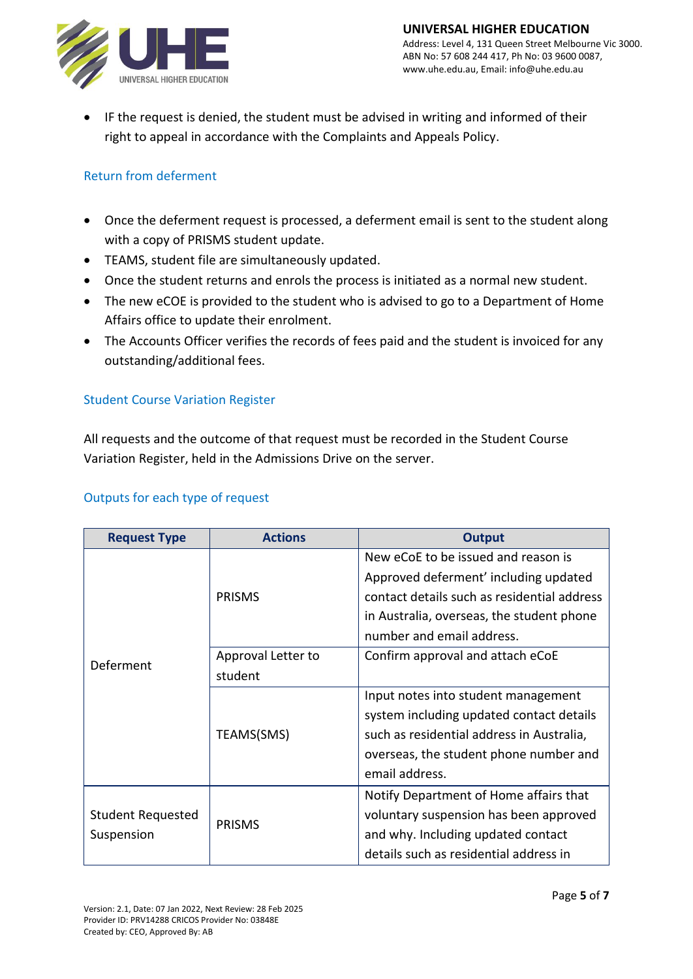

• IF the request is denied, the student must be advised in writing and informed of their right to appeal in accordance with the Complaints and Appeals Policy.

# Return from deferment

- Once the deferment request is processed, a deferment email is sent to the student along with a copy of PRISMS student update.
- TEAMS, student file are simultaneously updated.
- Once the student returns and enrols the process is initiated as a normal new student.
- The new eCOE is provided to the student who is advised to go to a Department of Home Affairs office to update their enrolment.
- The Accounts Officer verifies the records of fees paid and the student is invoiced for any outstanding/additional fees.

# Student Course Variation Register

All requests and the outcome of that request must be recorded in the Student Course Variation Register, held in the Admissions Drive on the server.

#### Outputs for each type of request

| <b>Request Type</b>             | <b>Actions</b>     | <b>Output</b>                               |
|---------------------------------|--------------------|---------------------------------------------|
| Deferment                       | <b>PRISMS</b>      | New eCoE to be issued and reason is         |
|                                 |                    | Approved deferment' including updated       |
|                                 |                    | contact details such as residential address |
|                                 |                    | in Australia, overseas, the student phone   |
|                                 |                    | number and email address.                   |
|                                 | Approval Letter to | Confirm approval and attach eCoE            |
|                                 | student            |                                             |
|                                 | TEAMS(SMS)         | Input notes into student management         |
|                                 |                    | system including updated contact details    |
|                                 |                    | such as residential address in Australia,   |
|                                 |                    | overseas, the student phone number and      |
|                                 |                    | email address.                              |
| Student Requested<br>Suspension | <b>PRISMS</b>      | Notify Department of Home affairs that      |
|                                 |                    | voluntary suspension has been approved      |
|                                 |                    | and why. Including updated contact          |
|                                 |                    | details such as residential address in      |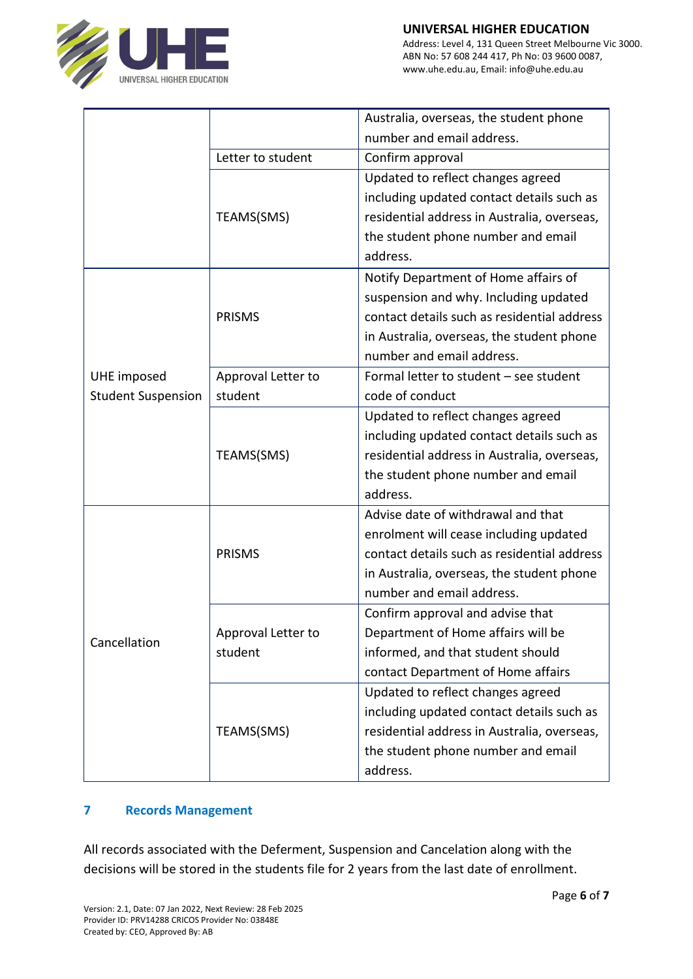

|                                          |                    | Australia, overseas, the student phone      |
|------------------------------------------|--------------------|---------------------------------------------|
|                                          |                    | number and email address.                   |
|                                          | Letter to student  | Confirm approval                            |
|                                          |                    | Updated to reflect changes agreed           |
|                                          |                    | including updated contact details such as   |
|                                          | TEAMS(SMS)         | residential address in Australia, overseas, |
|                                          |                    | the student phone number and email          |
|                                          |                    | address.                                    |
|                                          |                    | Notify Department of Home affairs of        |
|                                          |                    | suspension and why. Including updated       |
|                                          | <b>PRISMS</b>      | contact details such as residential address |
|                                          |                    | in Australia, overseas, the student phone   |
| UHE imposed<br><b>Student Suspension</b> |                    | number and email address.                   |
|                                          | Approval Letter to | Formal letter to student - see student      |
|                                          | student            | code of conduct                             |
|                                          |                    | Updated to reflect changes agreed           |
|                                          |                    | including updated contact details such as   |
|                                          | TEAMS(SMS)         | residential address in Australia, overseas, |
|                                          |                    | the student phone number and email          |
|                                          |                    | address.                                    |
|                                          | <b>PRISMS</b>      | Advise date of withdrawal and that          |
|                                          |                    | enrolment will cease including updated      |
| Cancellation                             |                    | contact details such as residential address |
|                                          |                    | in Australia, overseas, the student phone   |
|                                          |                    | number and email address.                   |
|                                          |                    | Confirm approval and advise that            |
|                                          | Approval Letter to | Department of Home affairs will be          |
|                                          | student            | informed, and that student should           |
|                                          |                    | contact Department of Home affairs          |
|                                          |                    | Updated to reflect changes agreed           |
|                                          |                    | including updated contact details such as   |
|                                          | TEAMS(SMS)         | residential address in Australia, overseas, |
|                                          |                    | the student phone number and email          |
|                                          |                    | address.                                    |

# **7 Records Management**

All records associated with the Deferment, Suspension and Cancelation along with the decisions will be stored in the students file for 2 years from the last date of enrollment.